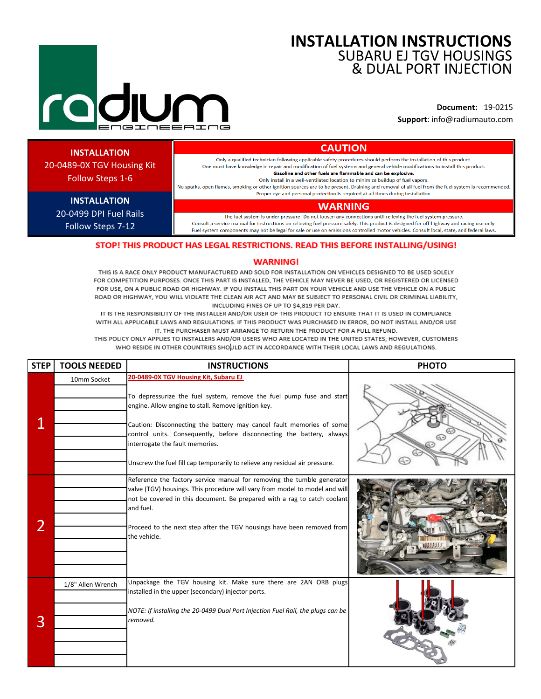# **INSTALLATION INSTRUCTIONS** SUBARU EJ TGV HOUSINGS & DUAL PORT INJECTION

**Document:** 19-0215 **Support**: info@radiumauto.com

# **INSTALLATION**

20-0489-0X TGV Housing Kit Follow Steps 1-6

> **INSTALLATION** 20-0499 DPI Fuel Rails Follow Steps 7-12

Only a qualified technician following applicable safety procedures should perform the installation of this product. One must have knowledge in repair and modification of fuel systems and general vehicle modifications to install this product. Gasoline and other fuels are flammable and can be explosive.

**CAUTION** 

Only install in a well-ventilated location to minimize buildup of fuel vapors. No sparks, open flames, smoking or other ignition sources are to be present. Draining and removal of all fuel from the fuel system is recommended.

Proper eye and personal protection is required at all times during installation.

### **WARNING**

The fuel system is under pressure! Do not loosen any connections until relieving the fuel system pressure. Consult a service manual for instructions on relieving fuel pressure safely. This product is designed for off-highway and racing use only. Fuel system components may not be legal for sale or use on emissions controlled motor vehicles. Consult local, state, and federal laws.

# STOP! THIS PRODUCT HAS LEGAL RESTRICTIONS. READ THIS BEFORE INSTALLING/USING!

### **WARNING!**

THIS IS A RACE ONLY PRODUCT MANUFACTURED AND SOLD FOR INSTALLATION ON VEHICLES DESIGNED TO BE USED SOLELY FOR COMPETITION PURPOSES. ONCE THIS PART IS INSTALLED, THE VEHICLE MAY NEVER BE USED, OR REGISTERED OR LICENSED FOR USE, ON A PUBLIC ROAD OR HIGHWAY. IF YOU INSTALL THIS PART ON YOUR VEHICLE AND USE THE VEHICLE ON A PUBLIC ROAD OR HIGHWAY, YOU WILL VIOLATE THE CLEAN AIR ACT AND MAY BE SUBJECT TO PERSONAL CIVIL OR CRIMINAL LIABILITY, INCLUDING FINES OF UP TO \$4,819 PER DAY.

IT IS THE RESPONSIBILITY OF THE INSTALLER AND/OR USER OF THIS PRODUCT TO ENSURE THAT IT IS USED IN COMPLIANCE WITH ALL APPLICABLE LAWS AND REGULATIONS. IF THIS PRODUCT WAS PURCHASED IN ERROR, DO NOT INSTALL AND/OR USE IT. THE PURCHASER MUST ARRANGE TO RETURN THE PRODUCT FOR A FULL REFUND.

THIS POLICY ONLY APPLIES TO INSTALLERS AND/OR USERS WHO ARE LOCATED IN THE UNITED STATES: HOWEVER, CUSTOMERS WHO RESIDE IN OTHER COUNTRIES SHOULD ACT IN ACCORDANCE WITH THEIR LOCAL LAWS AND REGULATIONS.

| <b>STEP</b> | <b>TOOLS NEEDED</b> | <b>INSTRUCTIONS</b>                                                                                                                                                                                                                                                                                                                                                                                                                     | <b>PHOTO</b> |
|-------------|---------------------|-----------------------------------------------------------------------------------------------------------------------------------------------------------------------------------------------------------------------------------------------------------------------------------------------------------------------------------------------------------------------------------------------------------------------------------------|--------------|
|             | 10mm Socket         | 20-0489-0X TGV Housing Kit, Subaru EJ<br>To depressurize the fuel system, remove the fuel pump fuse and start<br>engine. Allow engine to stall. Remove ignition key.<br>Caution: Disconnecting the battery may cancel fault memories of some<br>control units. Consequently, before disconnecting the battery, always<br>interrogate the fault memories.<br>Unscrew the fuel fill cap temporarily to relieve any residual air pressure. |              |
| 2           |                     | Reference the factory service manual for removing the tumble generator<br>valve (TGV) housings. This procedure will vary from model to model and will<br>not be covered in this document. Be prepared with a rag to catch coolant<br>and fuel.<br>Proceed to the next step after the TGV housings have been removed from<br>the vehicle.                                                                                                |              |
| 3           | 1/8" Allen Wrench   | Unpackage the TGV housing kit. Make sure there are 2AN ORB plugs<br>installed in the upper (secondary) injector ports.<br>NOTE: If installing the 20-0499 Dual Port Injection Fuel Rail, the plugs can be<br>removed.                                                                                                                                                                                                                   |              |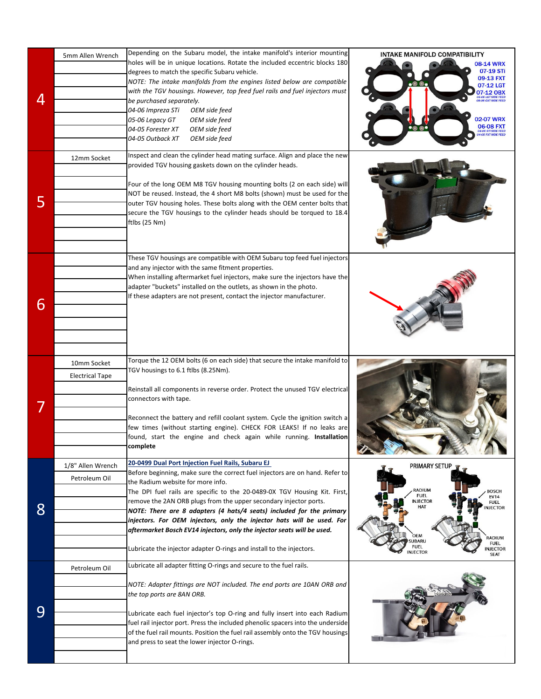| 4 | 5mm Allen Wrench<br>12mm Socket       | Depending on the Subaru model, the intake manifold's interior mounting<br>holes will be in unique locations. Rotate the included eccentric blocks 180<br>degrees to match the specific Subaru vehicle.<br>NOTE: The intake manifolds from the engines listed below are compatible<br>with the TGV housings. However, top feed fuel rails and fuel injectors must<br>be purchased separately.<br>04-06 Impreza STi<br>OEM side feed<br>05-06 Legacy GT<br>OEM side feed<br>04-05 Forester XT<br>OEM side feed<br>04-05 Outback XT<br>OEM side feed<br>Inspect and clean the cylinder head mating surface. Align and place the new<br>provided TGV housing gaskets down on the cylinder heads. | INTAKE MANIFOLD COMPATIBILITY<br>08-14 WRX<br>07-19 STi<br>09-13 FXT<br>$\bullet$ © $\bullet$<br>07-12 LGT<br><b>12 OBX</b><br>02-07 WRX<br>06-08 FXT<br>04-06 STI SIDE FEED<br>04-05 FXT SIDE FEED                                                        |
|---|---------------------------------------|----------------------------------------------------------------------------------------------------------------------------------------------------------------------------------------------------------------------------------------------------------------------------------------------------------------------------------------------------------------------------------------------------------------------------------------------------------------------------------------------------------------------------------------------------------------------------------------------------------------------------------------------------------------------------------------------|------------------------------------------------------------------------------------------------------------------------------------------------------------------------------------------------------------------------------------------------------------|
| 5 |                                       | Four of the long OEM M8 TGV housing mounting bolts (2 on each side) will<br>NOT be reused. Instead, the 4 short M8 bolts (shown) must be used for the<br>outer TGV housing holes. These bolts along with the OEM center bolts that<br>secure the TGV housings to the cylinder heads should be torqued to 18.4<br>ftlbs (25 Nm)                                                                                                                                                                                                                                                                                                                                                               |                                                                                                                                                                                                                                                            |
| 6 |                                       | These TGV housings are compatible with OEM Subaru top feed fuel injectors<br>and any injector with the same fitment properties.<br>When installing aftermarket fuel injectors, make sure the injectors have the<br>adapter "buckets" installed on the outlets, as shown in the photo.<br>If these adapters are not present, contact the injector manufacturer.                                                                                                                                                                                                                                                                                                                               |                                                                                                                                                                                                                                                            |
|   | 10mm Socket<br><b>Electrical Tape</b> | Torque the 12 OEM bolts (6 on each side) that secure the intake manifold to<br>TGV housings to 6.1 ftlbs (8.25Nm).<br>Reinstall all components in reverse order. Protect the unused TGV electrical<br>connectors with tape.<br>Reconnect the battery and refill coolant system. Cycle the ignition switch a<br>few times (without starting engine). CHECK FOR LEAKS! If no leaks are<br>found, start the engine and check again while running. Installation<br>complete                                                                                                                                                                                                                      |                                                                                                                                                                                                                                                            |
| 8 | 1/8" Allen Wrench<br>Petroleum Oil    | 20-0499 Dual Port Injection Fuel Rails, Subaru EJ<br>Before beginning, make sure the correct fuel injectors are on hand. Refer to<br>the Radium website for more info.<br>The DPI fuel rails are specific to the 20-0489-0X TGV Housing Kit. First,<br>remove the 2AN ORB plugs from the upper secondary injector ports.<br>NOTE: There are 8 adapters (4 hats/4 seats) included for the primary<br>injectors. For OEM injectors, only the injector hats will be used. For<br>aftermarket Bosch EV14 injectors, only the injector seats will be used.<br>Lubricate the injector adapter O-rings and install to the injectors.                                                                | PRIMARY SETUP<br>RADIUM<br><b>BOSCH</b><br><b>FUEL</b><br><b>EV14</b><br><b>INJECTOR</b><br><b>FUEL</b><br>HAT<br><b>NJECTOR</b><br>OEM<br><b>ADIUM</b><br><b>SUBARU</b><br><b>FUEL</b><br><b>FUEL</b><br><b>NJECTOR</b><br><b>INJECTOR</b><br><b>SEAT</b> |
| 9 | Petroleum Oil                         | Lubricate all adapter fitting O-rings and secure to the fuel rails.<br>NOTE: Adapter fittings are NOT included. The end ports are 10AN ORB and<br>the top ports are 8AN ORB.<br>Lubricate each fuel injector's top O-ring and fully insert into each Radium<br>fuel rail injector port. Press the included phenolic spacers into the underside<br>of the fuel rail mounts. Position the fuel rail assembly onto the TGV housings<br>and press to seat the lower injector O-rings.                                                                                                                                                                                                            |                                                                                                                                                                                                                                                            |